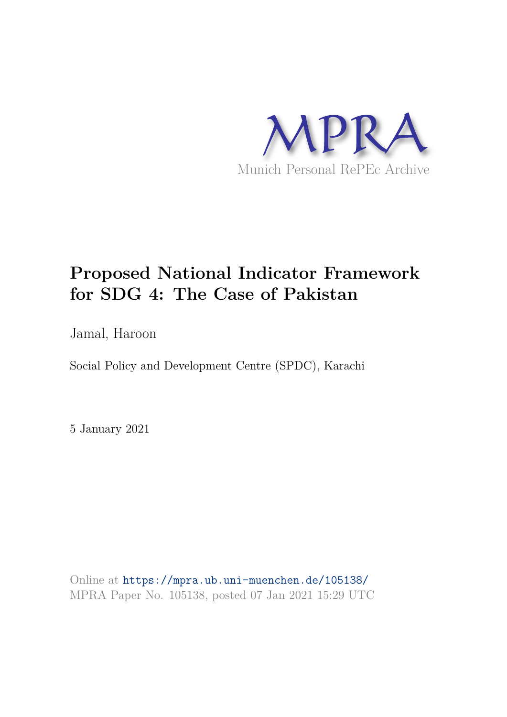

# **Proposed National Indicator Framework for SDG 4: The Case of Pakistan**

Jamal, Haroon

Social Policy and Development Centre (SPDC), Karachi

5 January 2021

Online at https://mpra.ub.uni-muenchen.de/105138/ MPRA Paper No. 105138, posted 07 Jan 2021 15:29 UTC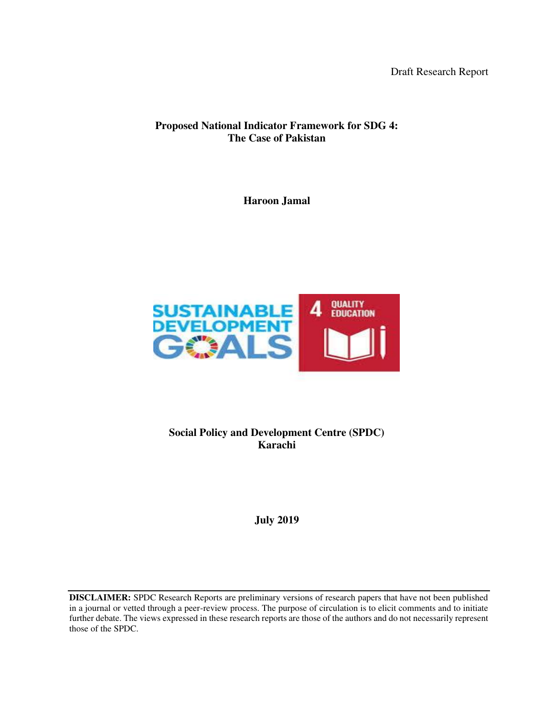Draft Research Report

## **Proposed National Indicator Framework for SDG 4: The Case of Pakistan**

**Haroon Jamal** 



**Social Policy and Development Centre (SPDC) Karachi** 

**July 2019** 

**DISCLAIMER:** SPDC Research Reports are preliminary versions of research papers that have not been published in a journal or vetted through a peer-review process. The purpose of circulation is to elicit comments and to initiate further debate. The views expressed in these research reports are those of the authors and do not necessarily represent those of the SPDC.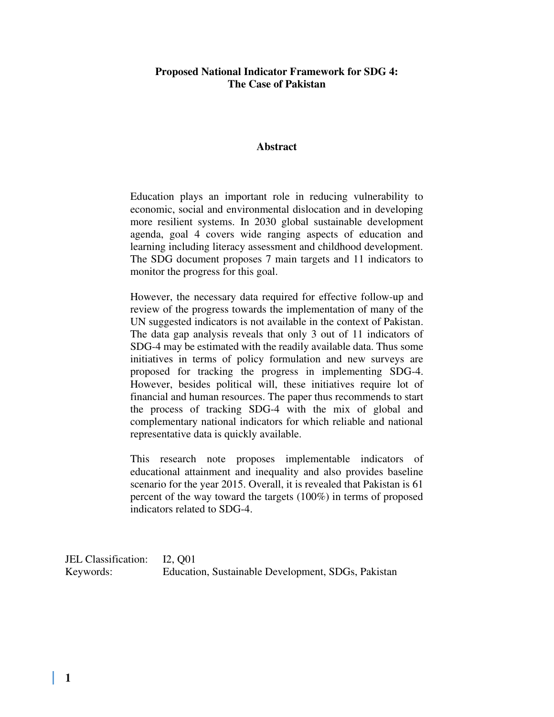#### **Proposed National Indicator Framework for SDG 4: The Case of Pakistan**

#### **Abstract**

Education plays an important role in reducing vulnerability to economic, social and environmental dislocation and in developing more resilient systems. In 2030 global sustainable development agenda, goal 4 covers wide ranging aspects of education and learning including literacy assessment and childhood development. The SDG document proposes 7 main targets and 11 indicators to monitor the progress for this goal.

However, the necessary data required for effective follow-up and review of the progress towards the implementation of many of the UN suggested indicators is not available in the context of Pakistan. The data gap analysis reveals that only 3 out of 11 indicators of SDG-4 may be estimated with the readily available data. Thus some initiatives in terms of policy formulation and new surveys are proposed for tracking the progress in implementing SDG-4. However, besides political will, these initiatives require lot of financial and human resources. The paper thus recommends to start the process of tracking SDG-4 with the mix of global and complementary national indicators for which reliable and national representative data is quickly available.

This research note proposes implementable indicators of educational attainment and inequality and also provides baseline scenario for the year 2015. Overall, it is revealed that Pakistan is 61 percent of the way toward the targets (100%) in terms of proposed indicators related to SDG-4.

JEL Classification: I2, Q01 Keywords: Education, Sustainable Development, SDGs, Pakistan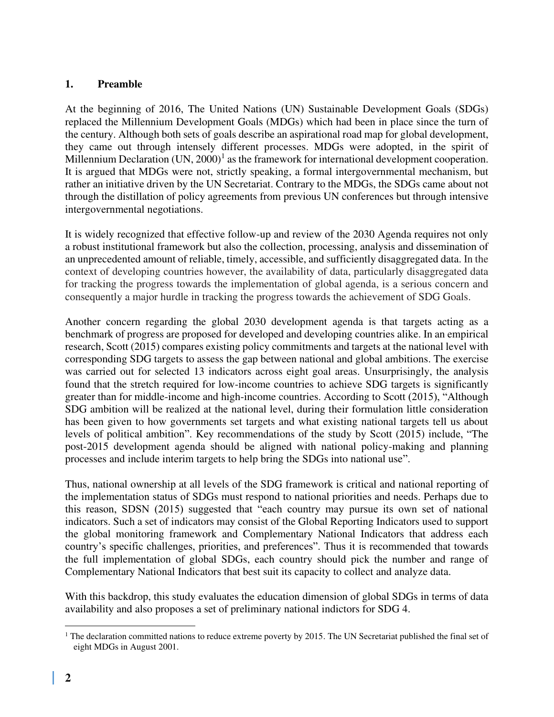#### **1. Preamble**

At the beginning of 2016, The United Nations (UN) Sustainable Development Goals (SDGs) replaced the Millennium Development Goals (MDGs) which had been in place since the turn of the century. Although both sets of goals describe an aspirational road map for global development, they came out through intensely different processes. MDGs were adopted, in the spirit of Millennium Declaration  $(UN, 2000)^1$  as the framework for international development cooperation. It is argued that MDGs were not, strictly speaking, a formal intergovernmental mechanism, but rather an initiative driven by the UN Secretariat. Contrary to the MDGs, the SDGs came about not through the distillation of policy agreements from previous UN conferences but through intensive intergovernmental negotiations.

It is widely recognized that effective follow-up and review of the 2030 Agenda requires not only a robust institutional framework but also the collection, processing, analysis and dissemination of an unprecedented amount of reliable, timely, accessible, and sufficiently disaggregated data. In the context of developing countries however, the availability of data, particularly disaggregated data for tracking the progress towards the implementation of global agenda, is a serious concern and consequently a major hurdle in tracking the progress towards the achievement of SDG Goals.

Another concern regarding the global 2030 development agenda is that targets acting as a benchmark of progress are proposed for developed and developing countries alike. In an empirical research, Scott (2015) compares existing policy commitments and targets at the national level with corresponding SDG targets to assess the gap between national and global ambitions. The exercise was carried out for selected 13 indicators across eight goal areas. Unsurprisingly, the analysis found that the stretch required for low-income countries to achieve SDG targets is significantly greater than for middle-income and high-income countries. According to Scott (2015), "Although SDG ambition will be realized at the national level, during their formulation little consideration has been given to how governments set targets and what existing national targets tell us about levels of political ambition". Key recommendations of the study by Scott (2015) include, "The post-2015 development agenda should be aligned with national policy-making and planning processes and include interim targets to help bring the SDGs into national use".

Thus, national ownership at all levels of the SDG framework is critical and national reporting of the implementation status of SDGs must respond to national priorities and needs. Perhaps due to this reason, SDSN (2015) suggested that "each country may pursue its own set of national indicators. Such a set of indicators may consist of the Global Reporting Indicators used to support the global monitoring framework and Complementary National Indicators that address each country's specific challenges, priorities, and preferences". Thus it is recommended that towards the full implementation of global SDGs, each country should pick the number and range of Complementary National Indicators that best suit its capacity to collect and analyze data.

With this backdrop, this study evaluates the education dimension of global SDGs in terms of data availability and also proposes a set of preliminary national indictors for SDG 4.

<sup>&</sup>lt;sup>1</sup> The declaration committed nations to reduce extreme poverty by 2015. The UN Secretariat published the final set of eight MDGs in August 2001.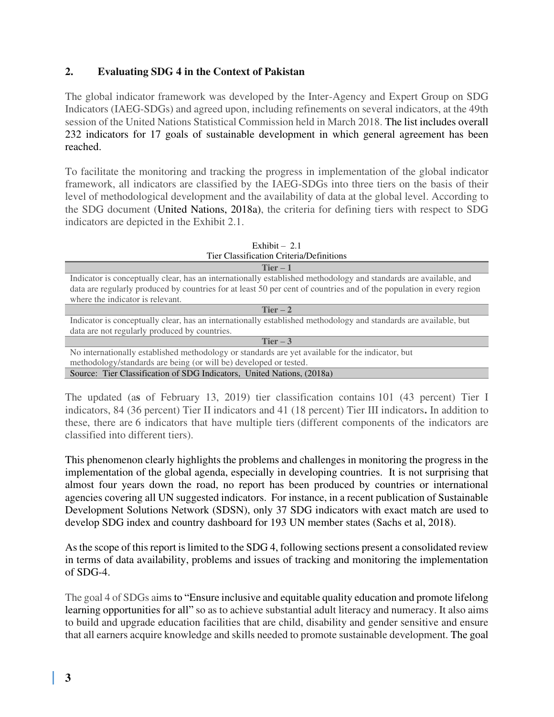## **2. Evaluating SDG 4 in the Context of Pakistan**

The global indicator framework was developed by the Inter-Agency and Expert Group on SDG Indicators (IAEG-SDGs) and agreed upon, including refinements on several indicators, at the 49th session of the United Nations Statistical Commission held in March 2018. The list includes overall 232 indicators for 17 goals of sustainable development in which general agreement has been reached.

To facilitate the monitoring and tracking the progress in implementation of the global indicator framework, all indicators are classified by the IAEG-SDGs into three tiers on the basis of their level of methodological development and the availability of data at the global level. According to the SDG document (United Nations, 2018a), the criteria for defining tiers with respect to SDG indicators are depicted in the Exhibit 2.1.

| Exhibit $-2.1$                                                                                                       |
|----------------------------------------------------------------------------------------------------------------------|
| Tier Classification Criteria/Definitions                                                                             |
| $Tier-1$                                                                                                             |
| Indicator is conceptually clear, has an internationally established methodology and standards are available, and     |
| data are regularly produced by countries for at least 50 per cent of countries and of the population in every region |
| where the indicator is relevant.                                                                                     |
| Tier $-2$                                                                                                            |
| Indicator is conceptually clear, has an internationally established methodology and standards are available, but     |
| data are not regularly produced by countries.                                                                        |
| Tier $-3$                                                                                                            |
| No internationally established methodology or standards are yet available for the indicator, but                     |
| methodology/standards are being (or will be) developed or tested.                                                    |
| Source: Tier Classification of SDG Indicators, United Nations, (2018a)                                               |

The updated (a**s** of February 13, 2019) tier classification contains 101 (43 percent) Tier I indicators, 84 (36 percent) Tier II indicators and 41 (18 percent) Tier III indicators**.** In addition to these, there are 6 indicators that have multiple tiers (different components of the indicators are classified into different tiers).

This phenomenon clearly highlights the problems and challenges in monitoring the progress in the implementation of the global agenda, especially in developing countries. It is not surprising that almost four years down the road, no report has been produced by countries or international agencies covering all UN suggested indicators. For instance, in a recent publication of Sustainable Development Solutions Network (SDSN), only 37 SDG indicators with exact match are used to develop SDG index and country dashboard for 193 UN member states (Sachs et al, 2018).

As the scope of this report is limited to the SDG 4, following sections present a consolidated review in terms of data availability, problems and issues of tracking and monitoring the implementation of SDG-4.

The goal 4 of SDGs aims to "Ensure inclusive and equitable quality education and promote lifelong learning opportunities for all" so as to achieve substantial adult literacy and numeracy. It also aims to build and upgrade education facilities that are child, disability and gender sensitive and ensure that all earners acquire knowledge and skills needed to promote sustainable development. The goal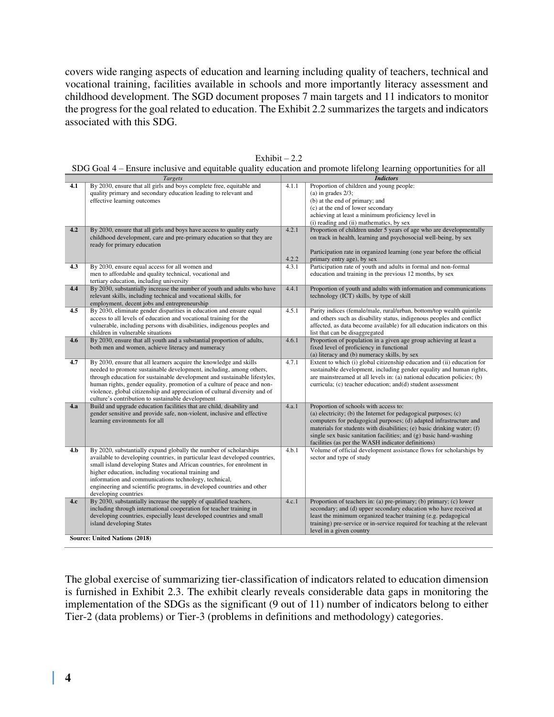covers wide ranging aspects of education and learning including quality of teachers, technical and vocational training, facilities available in schools and more importantly literacy assessment and childhood development. The SGD document proposes 7 main targets and 11 indicators to monitor the progress for the goal related to education. The Exhibit 2.2 summarizes the targets and indicators associated with this SDG.

|     | Targets                                                                                                                                 | <b>Indictors</b> |                                                                                                                 |  |  |
|-----|-----------------------------------------------------------------------------------------------------------------------------------------|------------------|-----------------------------------------------------------------------------------------------------------------|--|--|
| 4.1 | By 2030, ensure that all girls and boys complete free, equitable and<br>quality primary and secondary education leading to relevant and | 4.1.1            | Proportion of children and young people:<br>(a) in grades $2/3$ ;                                               |  |  |
|     | effective learning outcomes                                                                                                             |                  | (b) at the end of primary; and                                                                                  |  |  |
|     |                                                                                                                                         |                  | (c) at the end of lower secondary                                                                               |  |  |
|     |                                                                                                                                         |                  | achieving at least a minimum proficiency level in                                                               |  |  |
|     |                                                                                                                                         |                  |                                                                                                                 |  |  |
| 4.2 | By 2030, ensure that all girls and boys have access to quality early                                                                    | 4.2.1            | (i) reading and (ii) mathematics, by sex<br>Proportion of children under 5 years of age who are developmentally |  |  |
|     | childhood development, care and pre-primary education so that they are                                                                  |                  | on track in health, learning and psychosocial well-being, by sex                                                |  |  |
|     | ready for primary education                                                                                                             |                  |                                                                                                                 |  |  |
|     |                                                                                                                                         |                  | Participation rate in organized learning (one year before the official                                          |  |  |
|     |                                                                                                                                         | 4.2.2            | primary entry age), by sex                                                                                      |  |  |
| 4.3 | By 2030, ensure equal access for all women and                                                                                          | 4.3.1            | Participation rate of youth and adults in formal and non-formal                                                 |  |  |
|     | men to affordable and quality technical, vocational and                                                                                 |                  | education and training in the previous 12 months, by sex                                                        |  |  |
|     | tertiary education, including university                                                                                                |                  |                                                                                                                 |  |  |
| 4.4 | By 2030, substantially increase the number of youth and adults who have                                                                 | 4.4.1            | Proportion of youth and adults with information and communications                                              |  |  |
|     | relevant skills, including technical and vocational skills, for                                                                         |                  | technology (ICT) skills, by type of skill                                                                       |  |  |
|     | employment, decent jobs and entrepreneurship                                                                                            |                  |                                                                                                                 |  |  |
| 4.5 | By 2030, eliminate gender disparities in education and ensure equal                                                                     | 4.5.1            | Parity indices (female/male, rural/urban, bottom/top wealth quintile                                            |  |  |
|     | access to all levels of education and vocational training for the                                                                       |                  | and others such as disability status, indigenous peoples and conflict                                           |  |  |
|     | vulnerable, including persons with disabilities, indigenous peoples and                                                                 |                  | affected, as data become available) for all education indicators on this                                        |  |  |
|     | children in vulnerable situations                                                                                                       |                  | list that can be disaggregated                                                                                  |  |  |
| 4.6 | By 2030, ensure that all youth and a substantial proportion of adults,                                                                  | 4.6.1            | Proportion of population in a given age group achieving at least a                                              |  |  |
|     | both men and women, achieve literacy and numeracy                                                                                       |                  | fixed level of proficiency in functional                                                                        |  |  |
|     |                                                                                                                                         |                  | (a) literacy and (b) numeracy skills, by sex                                                                    |  |  |
| 4.7 | By 2030, ensure that all learners acquire the knowledge and skills                                                                      | 4.7.1            | Extent to which (i) global citizenship education and (ii) education for                                         |  |  |
|     | needed to promote sustainable development, including, among others,                                                                     |                  | sustainable development, including gender equality and human rights,                                            |  |  |
|     | through education for sustainable development and sustainable lifestyles,                                                               |                  | are mainstreamed at all levels in: (a) national education policies; (b)                                         |  |  |
|     | human rights, gender equality, promotion of a culture of peace and non-                                                                 |                  | curricula; (c) teacher education; and (d) student assessment                                                    |  |  |
|     | violence, global citizenship and appreciation of cultural diversity and of                                                              |                  |                                                                                                                 |  |  |
|     | culture's contribution to sustainable development                                                                                       |                  |                                                                                                                 |  |  |
| 4.a | Build and upgrade education facilities that are child, disability and                                                                   | 4.a.1            | Proportion of schools with access to:                                                                           |  |  |
|     | gender sensitive and provide safe, non-violent, inclusive and effective                                                                 |                  | (a) electricity; (b) the Internet for pedagogical purposes; $(c)$                                               |  |  |
|     | learning environments for all                                                                                                           |                  | computers for pedagogical purposes; (d) adapted infrastructure and                                              |  |  |
|     |                                                                                                                                         |                  | materials for students with disabilities; (e) basic drinking water; (f)                                         |  |  |
|     |                                                                                                                                         |                  | single sex basic sanitation facilities; and (g) basic hand-washing                                              |  |  |
|     |                                                                                                                                         |                  | facilities (as per the WASH indicator definitions)                                                              |  |  |
| 4.b | By 2020, substantially expand globally the number of scholarships                                                                       | 4.b.1            | Volume of official development assistance flows for scholarships by                                             |  |  |
|     | available to developing countries, in particular least developed countries,                                                             |                  | sector and type of study                                                                                        |  |  |
|     | small island developing States and African countries, for enrolment in                                                                  |                  |                                                                                                                 |  |  |
|     | higher education, including vocational training and<br>information and communications technology, technical,                            |                  |                                                                                                                 |  |  |
|     | engineering and scientific programs, in developed countries and other                                                                   |                  |                                                                                                                 |  |  |
|     | developing countries                                                                                                                    |                  |                                                                                                                 |  |  |
| 4.c | By 2030, substantially increase the supply of qualified teachers,                                                                       | 4.c.1            | Proportion of teachers in: (a) pre-primary; (b) primary; (c) lower                                              |  |  |
|     | including through international cooperation for teacher training in                                                                     |                  | secondary; and (d) upper secondary education who have received at                                               |  |  |
|     | developing countries, especially least developed countries and small                                                                    |                  | least the minimum organized teacher training (e.g. pedagogical                                                  |  |  |
|     | island developing States                                                                                                                |                  | training) pre-service or in-service required for teaching at the relevant                                       |  |  |
|     |                                                                                                                                         |                  | level in a given country                                                                                        |  |  |
|     | <b>Source: United Nations (2018)</b>                                                                                                    |                  |                                                                                                                 |  |  |
|     |                                                                                                                                         |                  |                                                                                                                 |  |  |

Exhibit  $-2.2$ 

SDG Goal 4 – Ensure inclusive and equitable quality education and promote lifelong learning opportunities for all

The global exercise of summarizing tier-classification of indicators related to education dimension is furnished in Exhibit 2.3. The exhibit clearly reveals considerable data gaps in monitoring the implementation of the SDGs as the significant (9 out of 11) number of indicators belong to either Tier-2 (data problems) or Tier-3 (problems in definitions and methodology) categories.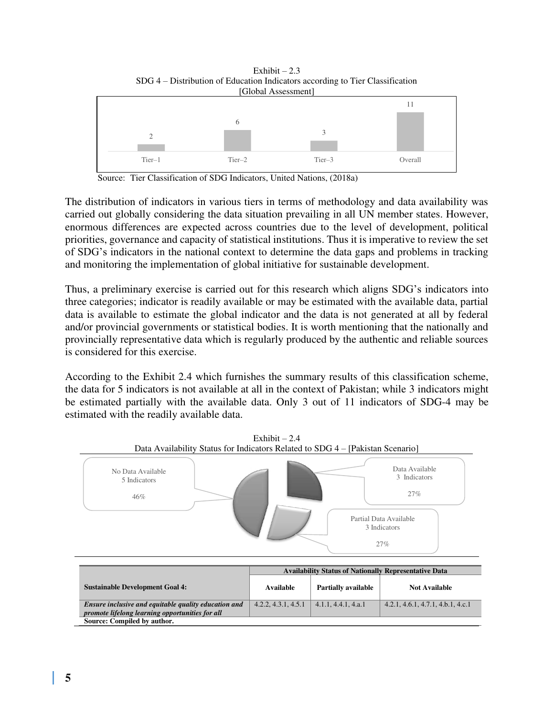

Exhibit  $-2.3$ 

Source: Tier Classification of SDG Indicators, United Nations, (2018a)

The distribution of indicators in various tiers in terms of methodology and data availability was carried out globally considering the data situation prevailing in all UN member states. However, enormous differences are expected across countries due to the level of development, political priorities, governance and capacity of statistical institutions. Thus it is imperative to review the set of SDG's indicators in the national context to determine the data gaps and problems in tracking and monitoring the implementation of global initiative for sustainable development.

Thus, a preliminary exercise is carried out for this research which aligns SDG's indicators into three categories; indicator is readily available or may be estimated with the available data, partial data is available to estimate the global indicator and the data is not generated at all by federal and/or provincial governments or statistical bodies. It is worth mentioning that the nationally and provincially representative data which is regularly produced by the authentic and reliable sources is considered for this exercise.

According to the Exhibit 2.4 which furnishes the summary results of this classification scheme, the data for 5 indicators is not available at all in the context of Pakistan; while 3 indicators might be estimated partially with the available data. Only 3 out of 11 indicators of SDG-4 may be estimated with the readily available data.



4.2.2, 4.3.1, 4.5.1 4.1.1, 4.4.1, 4.a.1 4.2.1, 4.6.1, 4.7.1, 4.b.1, 4.c.1

Exhibit  $-2.4$ Data Availability Status for Indicators Related to SDG 4 – [Pakistan Scenario]

| Ensure inclusive and equitable quality education and | 4.2.2, 4.3.1, 4.5.1 | $\vert$ 4.1.1, 4.4.1, 4.a.1 |
|------------------------------------------------------|---------------------|-----------------------------|
| promote lifelong learning opportunities for all      |                     |                             |
| Source: Compiled by author.                          |                     |                             |
|                                                      |                     |                             |
|                                                      |                     |                             |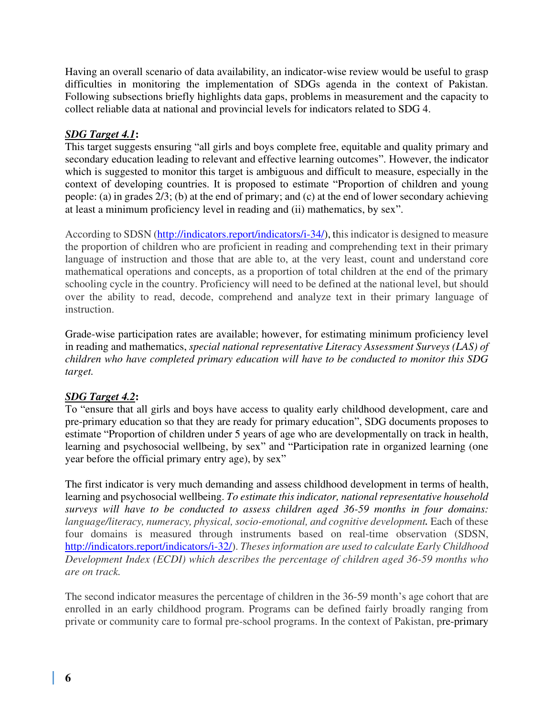Having an overall scenario of data availability, an indicator-wise review would be useful to grasp difficulties in monitoring the implementation of SDGs agenda in the context of Pakistan. Following subsections briefly highlights data gaps, problems in measurement and the capacity to collect reliable data at national and provincial levels for indicators related to SDG 4.

## *SDG Target 4.1***:**

This target suggests ensuring "all girls and boys complete free, equitable and quality primary and secondary education leading to relevant and effective learning outcomes". However, the indicator which is suggested to monitor this target is ambiguous and difficult to measure, especially in the context of developing countries. It is proposed to estimate "Proportion of children and young people: (a) in grades 2/3; (b) at the end of primary; and (c) at the end of lower secondary achieving at least a minimum proficiency level in reading and (ii) mathematics, by sex".

According to SDSN [\(http://indicators.report/indicators/i-34/\)](http://indicators.report/indicators/i-34/), this indicator is designed to measure the proportion of children who are proficient in reading and comprehending text in their primary language of instruction and those that are able to, at the very least, count and understand core mathematical operations and concepts, as a proportion of total children at the end of the primary schooling cycle in the country. Proficiency will need to be defined at the national level, but should over the ability to read, decode, comprehend and analyze text in their primary language of instruction.

Grade-wise participation rates are available; however, for estimating minimum proficiency level in reading and mathematics, *special national representative Literacy Assessment Surveys (LAS) of children who have completed primary education will have to be conducted to monitor this SDG target.* 

## *SDG Target 4.2***:**

To "ensure that all girls and boys have access to quality early childhood development, care and pre-primary education so that they are ready for primary education", SDG documents proposes to estimate "Proportion of children under 5 years of age who are developmentally on track in health, learning and psychosocial wellbeing, by sex" and "Participation rate in organized learning (one year before the official primary entry age), by sex"

The first indicator is very much demanding and assess childhood development in terms of health, learning and psychosocial wellbeing. *To estimate this indicator, national representative household surveys will have to be conducted to assess children aged 36-59 months in four domains: language/literacy, numeracy, physical, socio-emotional, and cognitive development.* Each of these four domains is measured through instruments based on real-time observation (SDSN, [http://indicators.report/indicators/i-32/\)](http://indicators.report/indicators/i-32/). *Theses information are used to calculate Early Childhood Development Index (ECDI) which describes the percentage of children aged 36-59 months who are on track.* 

The second indicator measures the percentage of children in the 36-59 month's age cohort that are enrolled in an early childhood program. Programs can be defined fairly broadly ranging from private or community care to formal pre-school programs. In the context of Pakistan, pre-primary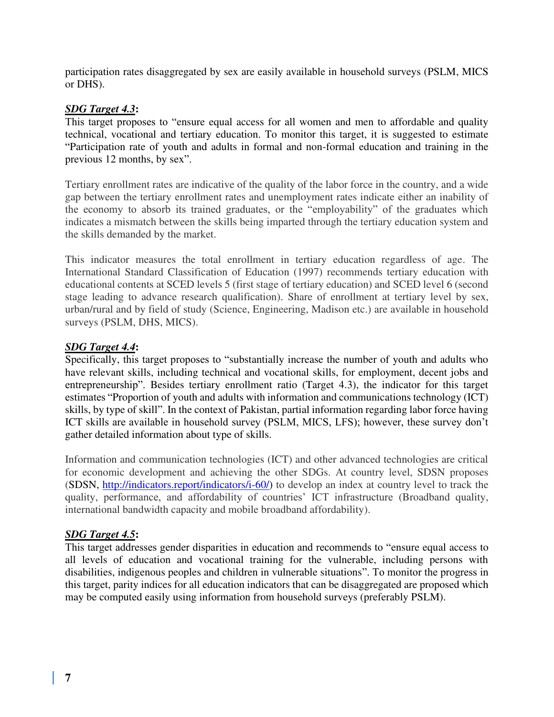participation rates disaggregated by sex are easily available in household surveys (PSLM, MICS or DHS).

## *SDG Target 4.3***:**

This target proposes to "ensure equal access for all women and men to affordable and quality technical, vocational and tertiary education. To monitor this target, it is suggested to estimate "Participation rate of youth and adults in formal and non-formal education and training in the previous 12 months, by sex".

Tertiary enrollment rates are indicative of the quality of the labor force in the country, and a wide gap between the tertiary enrollment rates and unemployment rates indicate either an inability of the economy to absorb its trained graduates, or the "employability" of the graduates which indicates a mismatch between the skills being imparted through the tertiary education system and the skills demanded by the market.

This indicator measures the total enrollment in tertiary education regardless of age. The International Standard Classification of Education (1997) recommends tertiary education with educational contents at SCED levels 5 (first stage of tertiary education) and SCED level 6 (second stage leading to advance research qualification). Share of enrollment at tertiary level by sex, urban/rural and by field of study (Science, Engineering, Madison etc.) are available in household surveys (PSLM, DHS, MICS).

#### *SDG Target 4.4***:**

Specifically, this target proposes to "substantially increase the number of youth and adults who have relevant skills, including technical and vocational skills, for employment, decent jobs and entrepreneurship". Besides tertiary enrollment ratio (Target 4.3), the indicator for this target estimates "Proportion of youth and adults with information and communications technology (ICT) skills, by type of skill". In the context of Pakistan, partial information regarding labor force having ICT skills are available in household survey (PSLM, MICS, LFS); however, these survey don't gather detailed information about type of skills.

Information and communication technologies (ICT) and other advanced technologies are critical for economic development and achieving the other SDGs. At country level, SDSN proposes (SDSN, [http://indicators.report/indicators/i-60/\)](http://indicators.report/indicators/i-60/) to develop an index at country level to track the quality, performance, and affordability of countries' ICT infrastructure (Broadband quality, international bandwidth capacity and mobile broadband affordability).

## *SDG Target 4.5***:**

This target addresses gender disparities in education and recommends to "ensure equal access to all levels of education and vocational training for the vulnerable, including persons with disabilities, indigenous peoples and children in vulnerable situations". To monitor the progress in this target, parity indices for all education indicators that can be disaggregated are proposed which may be computed easily using information from household surveys (preferably PSLM).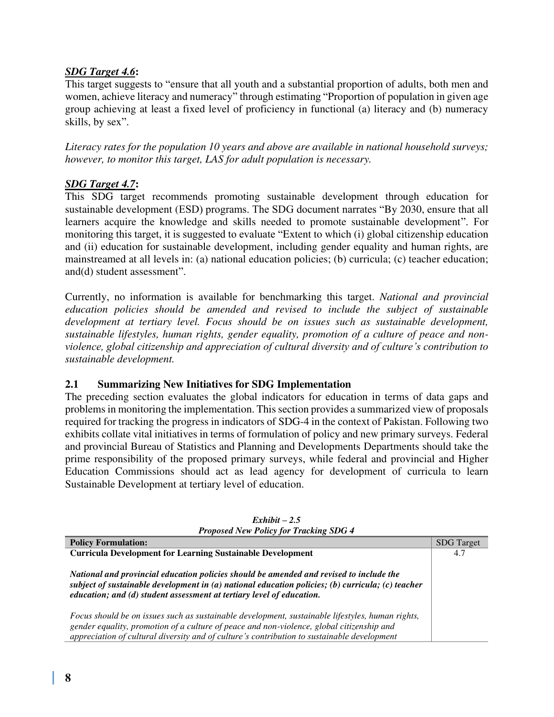## *SDG Target 4.6***:**

This target suggests to "ensure that all youth and a substantial proportion of adults, both men and women, achieve literacy and numeracy" through estimating "Proportion of population in given age group achieving at least a fixed level of proficiency in functional (a) literacy and (b) numeracy skills, by sex".

*Literacy rates for the population 10 years and above are available in national household surveys; however, to monitor this target, LAS for adult population is necessary.* 

## *SDG Target 4.7***:**

This SDG target recommends promoting sustainable development through education for sustainable development (ESD) programs. The SDG document narrates "By 2030, ensure that all learners acquire the knowledge and skills needed to promote sustainable development". For monitoring this target, it is suggested to evaluate "Extent to which (i) global citizenship education and (ii) education for sustainable development, including gender equality and human rights, are mainstreamed at all levels in: (a) national education policies; (b) curricula; (c) teacher education; and(d) student assessment".

Currently, no information is available for benchmarking this target. *National and provincial education policies should be amended and revised to include the subject of sustainable development at tertiary level. Focus should be on issues such as sustainable development, sustainable lifestyles, human rights, gender equality, promotion of a culture of peace and nonviolence, global citizenship and appreciation of cultural diversity and of culture's contribution to sustainable development.* 

## **2.1 Summarizing New Initiatives for SDG Implementation**

The preceding section evaluates the global indicators for education in terms of data gaps and problems in monitoring the implementation. This section provides a summarized view of proposals required for tracking the progress in indicators of SDG-4 in the context of Pakistan. Following two exhibits collate vital initiatives in terms of formulation of policy and new primary surveys. Federal and provincial Bureau of Statistics and Planning and Developments Departments should take the prime responsibility of the proposed primary surveys, while federal and provincial and Higher Education Commissions should act as lead agency for development of curricula to learn Sustainable Development at tertiary level of education.

| $110p$ as the $110p$ $110p$ $110p$ $11p$                                                                                                                                                                                                                                                     |                   |  |  |
|----------------------------------------------------------------------------------------------------------------------------------------------------------------------------------------------------------------------------------------------------------------------------------------------|-------------------|--|--|
| <b>Policy Formulation:</b>                                                                                                                                                                                                                                                                   | <b>SDG</b> Target |  |  |
| <b>Curricula Development for Learning Sustainable Development</b>                                                                                                                                                                                                                            | 4.7               |  |  |
| National and provincial education policies should be amended and revised to include the<br>subject of sustainable development in $(a)$ national education policies; (b) curricula; (c) teacher<br>education; and (d) student assessment at tertiary level of education.                      |                   |  |  |
| Focus should be on issues such as sustainable development, sustainable lifestyles, human rights,<br>gender equality, promotion of a culture of peace and non-violence, global citizenship and<br>appreciation of cultural diversity and of culture's contribution to sustainable development |                   |  |  |

*Exhibit – 2.5 Proposed New Policy for Tracking SDG 4*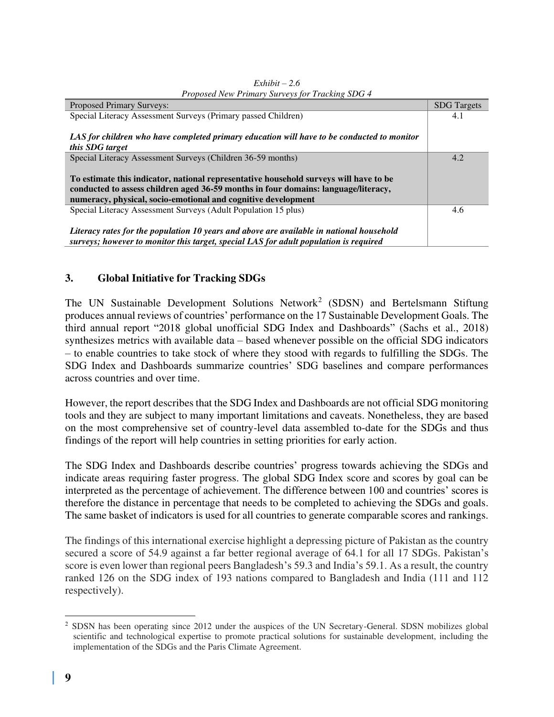| <b>Proposed Primary Surveys:</b>                                                           | <b>SDG</b> Targets |
|--------------------------------------------------------------------------------------------|--------------------|
| Special Literacy Assessment Surveys (Primary passed Children)                              | 4.1                |
|                                                                                            |                    |
| LAS for children who have completed primary education will have to be conducted to monitor |                    |
| this SDG target                                                                            |                    |
| Special Literacy Assessment Surveys (Children 36-59 months)                                | 4.2                |
|                                                                                            |                    |
| To estimate this indicator, national representative household surveys will have to be      |                    |
| conducted to assess children aged 36-59 months in four domains: language/literacy,         |                    |
| numeracy, physical, socio-emotional and cognitive development                              |                    |
| Special Literacy Assessment Surveys (Adult Population 15 plus)                             | 4.6                |
|                                                                                            |                    |
| Literacy rates for the population 10 years and above are available in national household   |                    |
| surveys; however to monitor this target, special LAS for adult population is required      |                    |

| $Exhibit - 2.6$                                 |  |  |  |  |
|-------------------------------------------------|--|--|--|--|
| Proposed New Primary Surveys for Tracking SDG 4 |  |  |  |  |

## **3. Global Initiative for Tracking SDGs**

The UN Sustainable Development Solutions Network<sup>2</sup> (SDSN) and Bertelsmann Stiftung produces annual reviews of countries' performance on the 17 Sustainable Development Goals. The third annual report "2018 global unofficial SDG Index and Dashboards" (Sachs et al., 2018) synthesizes metrics with available data – based whenever possible on the official SDG indicators – to enable countries to take stock of where they stood with regards to fulfilling the SDGs. The SDG Index and Dashboards summarize countries' SDG baselines and compare performances across countries and over time.

However, the report describes that the SDG Index and Dashboards are not official SDG monitoring tools and they are subject to many important limitations and caveats. Nonetheless, they are based on the most comprehensive set of country-level data assembled to-date for the SDGs and thus findings of the report will help countries in setting priorities for early action.

The SDG Index and Dashboards describe countries' progress towards achieving the SDGs and indicate areas requiring faster progress. The global SDG Index score and scores by goal can be interpreted as the percentage of achievement. The difference between 100 and countries' scores is therefore the distance in percentage that needs to be completed to achieving the SDGs and goals. The same basket of indicators is used for all countries to generate comparable scores and rankings.

The findings of this international exercise highlight a depressing picture of Pakistan as the country secured a score of 54.9 against a far better regional average of 64.1 for all 17 SDGs. Pakistan's score is even lower than regional peers Bangladesh's 59.3 and India's 59.1. As a result, the country ranked 126 on the SDG index of 193 nations compared to Bangladesh and India (111 and 112 respectively).

<sup>&</sup>lt;sup>2</sup> SDSN has been operating since 2012 under the auspices of the UN Secretary-General. SDSN mobilizes global scientific and technological expertise to promote practical solutions for sustainable development, including the implementation of the SDGs and the Paris Climate Agreement.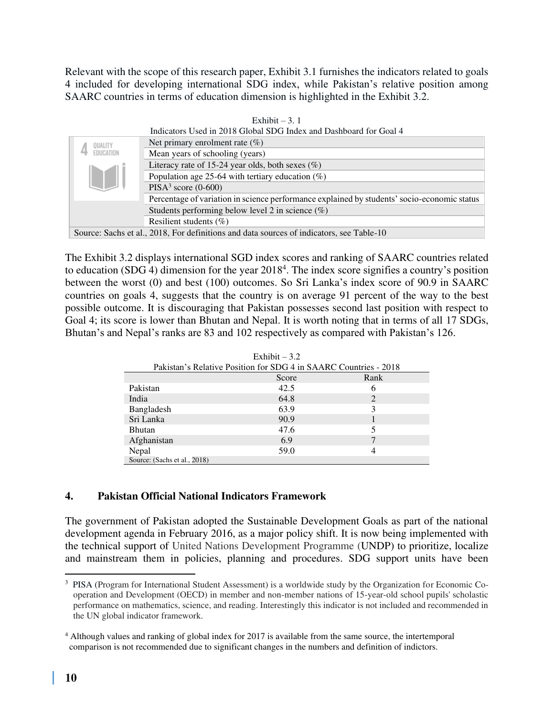Relevant with the scope of this research paper, Exhibit 3.1 furnishes the indicators related to goals 4 included for developing international SDG index, while Pakistan's relative position among SAARC countries in terms of education dimension is highlighted in the Exhibit 3.2.

|                                                     | Indicators Used in 2018 Global SDG Index and Dashboard for Goal 4                           |  |  |  |  |
|-----------------------------------------------------|---------------------------------------------------------------------------------------------|--|--|--|--|
| <b>OUALITY</b>                                      | Net primary enrolment rate $(\%)$                                                           |  |  |  |  |
| <b>FDUCATION</b>                                    | Mean years of schooling (years)                                                             |  |  |  |  |
|                                                     | Literacy rate of 15-24 year olds, both sexes $(\%)$                                         |  |  |  |  |
| Population age 25-64 with tertiary education $(\%)$ |                                                                                             |  |  |  |  |
| $PISA3$ score (0-600)                               |                                                                                             |  |  |  |  |
|                                                     | Percentage of variation in science performance explained by students' socio-economic status |  |  |  |  |
|                                                     | Students performing below level 2 in science $(\%)$                                         |  |  |  |  |
|                                                     | Resilient students $(\%)$                                                                   |  |  |  |  |
|                                                     | Source: Sachs et al., 2018, For definitions and data sources of indicators, see Table-10    |  |  |  |  |

Exhibit – 3.  $1$ 

The Exhibit 3.2 displays international SGD index scores and ranking of SAARC countries related to education (SDG 4) dimension for the year  $2018<sup>4</sup>$ . The index score signifies a country's position between the worst (0) and best (100) outcomes. So Sri Lanka's index score of 90.9 in SAARC countries on goals 4, suggests that the country is on average 91 percent of the way to the best possible outcome. It is discouraging that Pakistan possesses second last position with respect to Goal 4; its score is lower than Bhutan and Nepal. It is worth noting that in terms of all 17 SDGs, Bhutan's and Nepal's ranks are 83 and 102 respectively as compared with Pakistan's 126.

| Exhibit $-3.2$                                                   |      |   |  |  |  |  |  |
|------------------------------------------------------------------|------|---|--|--|--|--|--|
| Pakistan's Relative Position for SDG 4 in SAARC Countries - 2018 |      |   |  |  |  |  |  |
| Rank<br>Score                                                    |      |   |  |  |  |  |  |
| Pakistan                                                         | 42.5 | 6 |  |  |  |  |  |
| India                                                            | 64.8 | 2 |  |  |  |  |  |
| Bangladesh                                                       | 63.9 | 3 |  |  |  |  |  |
| Sri Lanka                                                        | 90.9 |   |  |  |  |  |  |
| <b>Bhutan</b>                                                    | 47.6 | 5 |  |  |  |  |  |
| Afghanistan                                                      | 6.9  | 7 |  |  |  |  |  |
| Nepal                                                            | 59.0 | 4 |  |  |  |  |  |
| Source: (Sachs et al., 2018)                                     |      |   |  |  |  |  |  |

## **4. Pakistan Official National Indicators Framework**

The government of Pakistan adopted the Sustainable Development Goals as part of the national development agenda in February 2016, as a major policy shift. It is now being implemented with the technical support of United Nations Development Programme (UNDP) to prioritize, localize and mainstream them in policies, planning and procedures. SDG support units have been

<sup>&</sup>lt;sup>3</sup> PISA (Program for International Student Assessment) is a worldwide study by the Organization for Economic Cooperation and Development (OECD) in member and non-member nations of 15-year-old school pupils' scholastic performance on mathematics, science, and reading. Interestingly this indicator is not included and recommended in the UN global indicator framework.

<sup>&</sup>lt;sup>4</sup> Although values and ranking of global index for 2017 is available from the same source, the intertemporal comparison is not recommended due to significant changes in the numbers and definition of indictors.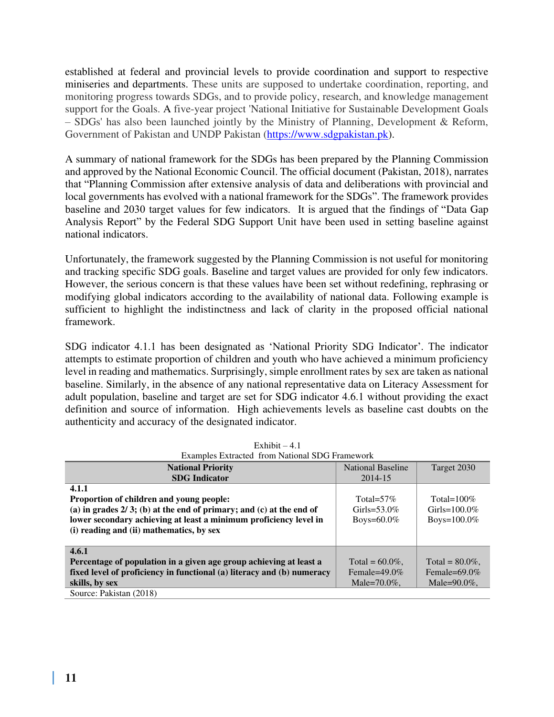established at federal and provincial levels to provide coordination and support to respective miniseries and departments. These units are supposed to undertake coordination, reporting, and monitoring progress towards SDGs, and to provide policy, research, and knowledge management support for the Goals. A five-year project 'National Initiative for Sustainable Development Goals – SDGs' has also been launched jointly by the Ministry of Planning, Development & Reform, Government of Pakistan and UNDP Pakistan [\(https://www.sdgpakistan.pk\)](https://www.sdgpakistan.pk/).

A summary of national framework for the SDGs has been prepared by the Planning Commission and approved by the National Economic Council. The official document (Pakistan, 2018), narrates that "Planning Commission after extensive analysis of data and deliberations with provincial and local governments has evolved with a national framework for the SDGs". The framework provides baseline and 2030 target values for few indicators. It is argued that the findings of "Data Gap Analysis Report" by the Federal SDG Support Unit have been used in setting baseline against national indicators.

Unfortunately, the framework suggested by the Planning Commission is not useful for monitoring and tracking specific SDG goals. Baseline and target values are provided for only few indicators. However, the serious concern is that these values have been set without redefining, rephrasing or modifying global indicators according to the availability of national data. Following example is sufficient to highlight the indistinctness and lack of clarity in the proposed official national framework.

SDG indicator 4.1.1 has been designated as 'National Priority SDG Indicator'. The indicator attempts to estimate proportion of children and youth who have achieved a minimum proficiency level in reading and mathematics. Surprisingly, simple enrollment rates by sex are taken as national baseline. Similarly, in the absence of any national representative data on Literacy Assessment for adult population, baseline and target are set for SDG indicator 4.6.1 without providing the exact definition and source of information. High achievements levels as baseline cast doubts on the authenticity and accuracy of the designated indicator.

| <b>EXAMPLES EXUACTED TIONI INAUDITAL SIDU FIAMEWOLK</b>                |                    |                    |  |  |  |  |
|------------------------------------------------------------------------|--------------------|--------------------|--|--|--|--|
| <b>National Priority</b>                                               | National Baseline  | Target 2030        |  |  |  |  |
| <b>SDG</b> Indicator                                                   | 2014-15            |                    |  |  |  |  |
| 4.1.1                                                                  |                    |                    |  |  |  |  |
| Proportion of children and young people:                               | Total= $57\%$      | Total= $100\%$     |  |  |  |  |
| (a) in grades $2/3$ ; (b) at the end of primary; and (c) at the end of | Girls=53.0\%       | Girls= $100.0\%$   |  |  |  |  |
| lower secondary achieving at least a minimum proficiency level in      | Boys= $60.0\%$     | Boys= $100.0\%$    |  |  |  |  |
| (i) reading and (ii) mathematics, by sex                               |                    |                    |  |  |  |  |
|                                                                        |                    |                    |  |  |  |  |
| 4.6.1                                                                  |                    |                    |  |  |  |  |
| Percentage of population in a given age group achieving at least a     | Total = $60.0\%$ . | Total = $80.0\%$ . |  |  |  |  |
| fixed level of proficiency in functional (a) literacy and (b) numeracy | Female= $49.0\%$   | Female= $69.0\%$   |  |  |  |  |
| skills, by sex                                                         | Male= $70.0\%$ .   | Male= $90.0\%$ .   |  |  |  |  |
| Source: Pakistan (2018)                                                |                    |                    |  |  |  |  |

| Exhibit $-4.1$ |                                                |  |  |  |  |
|----------------|------------------------------------------------|--|--|--|--|
|                | Examples Extracted from National SDG Framework |  |  |  |  |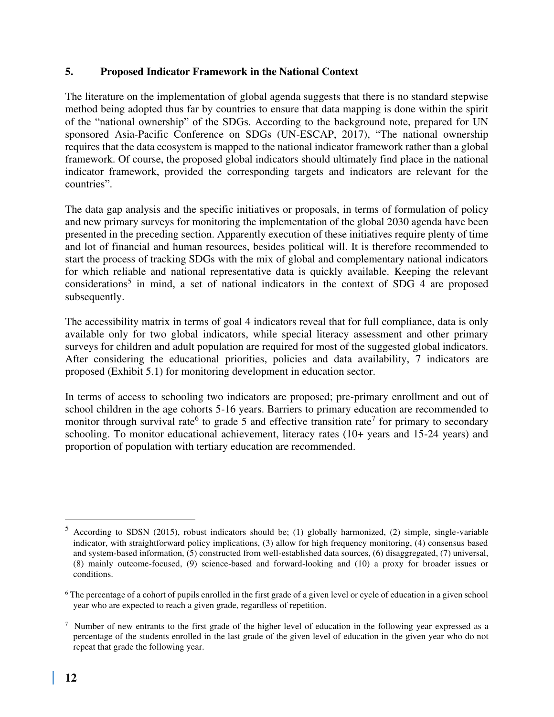### **5. Proposed Indicator Framework in the National Context**

The literature on the implementation of global agenda suggests that there is no standard stepwise method being adopted thus far by countries to ensure that data mapping is done within the spirit of the "national ownership" of the SDGs. According to the background note, prepared for UN sponsored Asia-Pacific Conference on SDGs (UN-ESCAP, 2017), "The national ownership requires that the data ecosystem is mapped to the national indicator framework rather than a global framework. Of course, the proposed global indicators should ultimately find place in the national indicator framework, provided the corresponding targets and indicators are relevant for the countries".

The data gap analysis and the specific initiatives or proposals, in terms of formulation of policy and new primary surveys for monitoring the implementation of the global 2030 agenda have been presented in the preceding section. Apparently execution of these initiatives require plenty of time and lot of financial and human resources, besides political will. It is therefore recommended to start the process of tracking SDGs with the mix of global and complementary national indicators for which reliable and national representative data is quickly available. Keeping the relevant considerations<sup>5</sup> in mind, a set of national indicators in the context of SDG 4 are proposed subsequently.

The accessibility matrix in terms of goal 4 indicators reveal that for full compliance, data is only available only for two global indicators, while special literacy assessment and other primary surveys for children and adult population are required for most of the suggested global indicators. After considering the educational priorities, policies and data availability, 7 indicators are proposed (Exhibit 5.1) for monitoring development in education sector.

In terms of access to schooling two indicators are proposed; pre-primary enrollment and out of school children in the age cohorts 5-16 years. Barriers to primary education are recommended to monitor through survival rate<sup>6</sup> to grade 5 and effective transition rate<sup>7</sup> for primary to secondary schooling. To monitor educational achievement, literacy rates (10+ years and 15-24 years) and proportion of population with tertiary education are recommended.

<sup>5</sup> According to SDSN (2015), robust indicators should be; (1) globally harmonized, (2) simple, single-variable indicator, with straightforward policy implications, (3) allow for high frequency monitoring, (4) consensus based and system-based information, (5) constructed from well-established data sources, (6) disaggregated, (7) universal, (8) mainly outcome-focused, (9) science-based and forward-looking and (10) a proxy for broader issues or conditions.

<sup>&</sup>lt;sup>6</sup> The percentage of a cohort of pupils enrolled in the first grade of a given level or cycle of education in a given school year who are expected to reach a given grade, regardless of repetition.

<sup>&</sup>lt;sup>7</sup> Number of new entrants to the first grade of the higher level of education in the following year expressed as a percentage of the students enrolled in the last grade of the given level of education in the given year who do not repeat that grade the following year.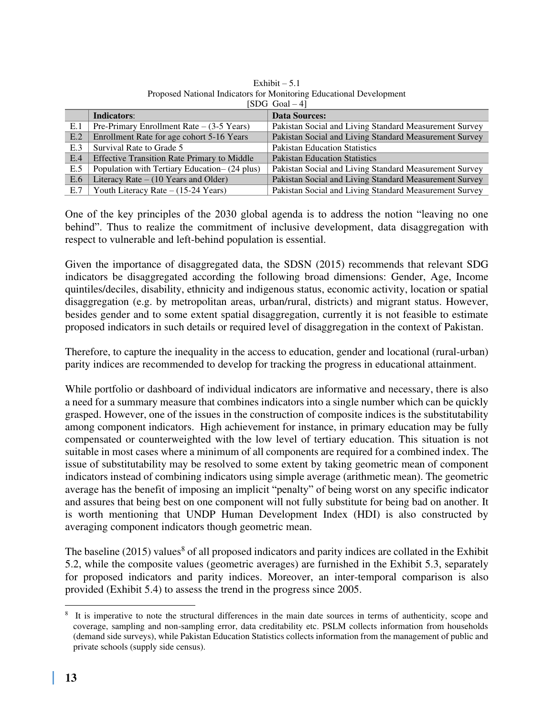|     | 15DU U0a1 – 41                                     |                                                        |  |  |  |
|-----|----------------------------------------------------|--------------------------------------------------------|--|--|--|
|     | Indicators:                                        | <b>Data Sources:</b>                                   |  |  |  |
| E.1 | Pre-Primary Enrollment Rate $-$ (3-5 Years)        | Pakistan Social and Living Standard Measurement Survey |  |  |  |
| E.2 | Enrollment Rate for age cohort 5-16 Years          | Pakistan Social and Living Standard Measurement Survey |  |  |  |
| E.3 | Survival Rate to Grade 5                           | <b>Pakistan Education Statistics</b>                   |  |  |  |
| E.4 | <b>Effective Transition Rate Primary to Middle</b> | <b>Pakistan Education Statistics</b>                   |  |  |  |
| E.5 | Population with Tertiary Education- (24 plus)      | Pakistan Social and Living Standard Measurement Survey |  |  |  |
| E.6 | Literacy Rate $- (10$ Years and Older)             | Pakistan Social and Living Standard Measurement Survey |  |  |  |
| E.7 | Youth Literacy Rate $- (15-24 \text{ Years})$      | Pakistan Social and Living Standard Measurement Survey |  |  |  |

Exhibit  $-5.1$ Proposed National Indicators for Monitoring Educational Development  $[SDG G<sub>02</sub>]$   $A]$ 

One of the key principles of the 2030 global agenda is to address the notion "leaving no one behind". Thus to realize the commitment of inclusive development, data disaggregation with respect to vulnerable and left-behind population is essential.

Given the importance of disaggregated data, the SDSN (2015) recommends that relevant SDG indicators be disaggregated according the following broad dimensions: Gender, Age, Income quintiles/deciles, disability, ethnicity and indigenous status, economic activity, location or spatial disaggregation (e.g. by metropolitan areas, urban/rural, districts) and migrant status. However, besides gender and to some extent spatial disaggregation, currently it is not feasible to estimate proposed indicators in such details or required level of disaggregation in the context of Pakistan.

Therefore, to capture the inequality in the access to education, gender and locational (rural-urban) parity indices are recommended to develop for tracking the progress in educational attainment.

While portfolio or dashboard of individual indicators are informative and necessary, there is also a need for a summary measure that combines indicators into a single number which can be quickly grasped. However, one of the issues in the construction of composite indices is the substitutability among component indicators. High achievement for instance, in primary education may be fully compensated or counterweighted with the low level of tertiary education. This situation is not suitable in most cases where a minimum of all components are required for a combined index. The issue of substitutability may be resolved to some extent by taking geometric mean of component indicators instead of combining indicators using simple average (arithmetic mean). The geometric average has the benefit of imposing an implicit "penalty" of being worst on any specific indicator and assures that being best on one component will not fully substitute for being bad on another. It is worth mentioning that UNDP Human Development Index (HDI) is also constructed by averaging component indicators though geometric mean.

The baseline (2015) values<sup>8</sup> of all proposed indicators and parity indices are collated in the Exhibit 5.2, while the composite values (geometric averages) are furnished in the Exhibit 5.3, separately for proposed indicators and parity indices. Moreover, an inter-temporal comparison is also provided (Exhibit 5.4) to assess the trend in the progress since 2005.

<sup>&</sup>lt;sup>8</sup> It is imperative to note the structural differences in the main date sources in terms of authenticity, scope and coverage, sampling and non-sampling error, data creditability etc. PSLM collects information from households (demand side surveys), while Pakistan Education Statistics collects information from the management of public and private schools (supply side census).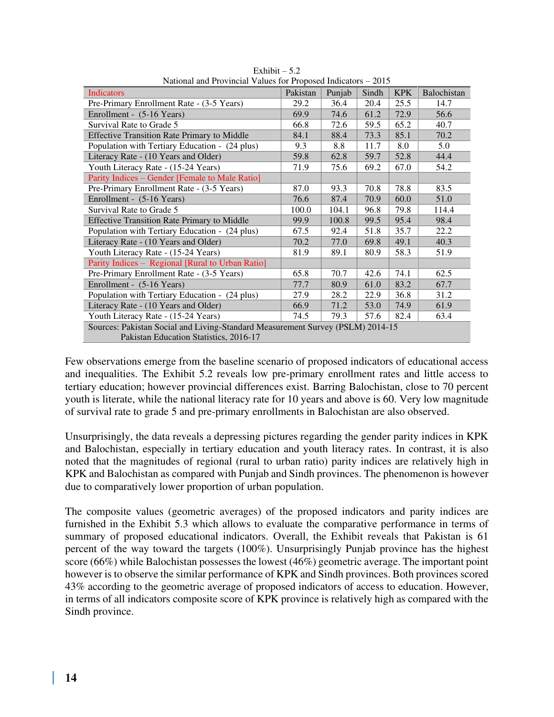| Trativilar and I Fovincial Values for Troposed mulcators $=$ 2015              |          |        |       |            |                    |  |
|--------------------------------------------------------------------------------|----------|--------|-------|------------|--------------------|--|
| Indicators                                                                     | Pakistan | Punjab | Sindh | <b>KPK</b> | <b>Balochistan</b> |  |
| Pre-Primary Enrollment Rate - (3-5 Years)                                      | 29.2     | 36.4   | 20.4  | 25.5       | 14.7               |  |
| Enrollment - (5-16 Years)                                                      | 69.9     | 74.6   | 61.2  | 72.9       | 56.6               |  |
| Survival Rate to Grade 5                                                       | 66.8     | 72.6   | 59.5  | 65.2       | 40.7               |  |
| <b>Effective Transition Rate Primary to Middle</b>                             | 84.1     | 88.4   | 73.3  | 85.1       | 70.2               |  |
| Population with Tertiary Education - (24 plus)                                 | 9.3      | 8.8    | 11.7  | 8.0        | 5.0                |  |
| Literacy Rate - (10 Years and Older)                                           | 59.8     | 62.8   | 59.7  | 52.8       | 44.4               |  |
| Youth Literacy Rate - (15-24 Years)                                            | 71.9     | 75.6   | 69.2  | 67.0       | 54.2               |  |
| Parity Indices – Gender [Female to Male Ratio]                                 |          |        |       |            |                    |  |
| Pre-Primary Enrollment Rate - (3-5 Years)                                      | 87.0     | 93.3   | 70.8  | 78.8       | 83.5               |  |
| Enrollment - (5-16 Years)                                                      | 76.6     | 87.4   | 70.9  | 60.0       | 51.0               |  |
| Survival Rate to Grade 5                                                       | 100.0    | 104.1  | 96.8  | 79.8       | 114.4              |  |
| <b>Effective Transition Rate Primary to Middle</b>                             | 99.9     | 100.8  | 99.5  | 95.4       | 98.4               |  |
| Population with Tertiary Education - (24 plus)                                 | 67.5     | 92.4   | 51.8  | 35.7       | 22.2               |  |
| Literacy Rate - (10 Years and Older)                                           | 70.2     | 77.0   | 69.8  | 49.1       | 40.3               |  |
| Youth Literacy Rate - (15-24 Years)                                            | 81.9     | 89.1   | 80.9  | 58.3       | 51.9               |  |
| Parity Indices – Regional [Rural to Urban Ratio]                               |          |        |       |            |                    |  |
| Pre-Primary Enrollment Rate - (3-5 Years)                                      | 65.8     | 70.7   | 42.6  | 74.1       | 62.5               |  |
| Enrollment - (5-16 Years)                                                      | 77.7     | 80.9   | 61.0  | 83.2       | 67.7               |  |
| Population with Tertiary Education - (24 plus)                                 | 27.9     | 28.2   | 22.9  | 36.8       | 31.2               |  |
| Literacy Rate - (10 Years and Older)                                           | 66.9     | 71.2   | 53.0  | 74.9       | 61.9               |  |
| Youth Literacy Rate - (15-24 Years)                                            | 74.5     | 79.3   | 57.6  | 82.4       | 63.4               |  |
| Sources: Pakistan Social and Living-Standard Measurement Survey (PSLM) 2014-15 |          |        |       |            |                    |  |
| Pakistan Education Statistics, 2016-17                                         |          |        |       |            |                    |  |

Exhibit  $-5.2$ National and Provincial Values for Proposed Indicators – 2015

Few observations emerge from the baseline scenario of proposed indicators of educational access and inequalities. The Exhibit 5.2 reveals low pre-primary enrollment rates and little access to tertiary education; however provincial differences exist. Barring Balochistan, close to 70 percent youth is literate, while the national literacy rate for 10 years and above is 60. Very low magnitude of survival rate to grade 5 and pre-primary enrollments in Balochistan are also observed.

Unsurprisingly, the data reveals a depressing pictures regarding the gender parity indices in KPK and Balochistan, especially in tertiary education and youth literacy rates. In contrast, it is also noted that the magnitudes of regional (rural to urban ratio) parity indices are relatively high in KPK and Balochistan as compared with Punjab and Sindh provinces. The phenomenon is however due to comparatively lower proportion of urban population.

The composite values (geometric averages) of the proposed indicators and parity indices are furnished in the Exhibit 5.3 which allows to evaluate the comparative performance in terms of summary of proposed educational indicators. Overall, the Exhibit reveals that Pakistan is 61 percent of the way toward the targets (100%). Unsurprisingly Punjab province has the highest score (66%) while Balochistan possesses the lowest (46%) geometric average. The important point however is to observe the similar performance of KPK and Sindh provinces. Both provinces scored 43% according to the geometric average of proposed indicators of access to education. However, in terms of all indicators composite score of KPK province is relatively high as compared with the Sindh province.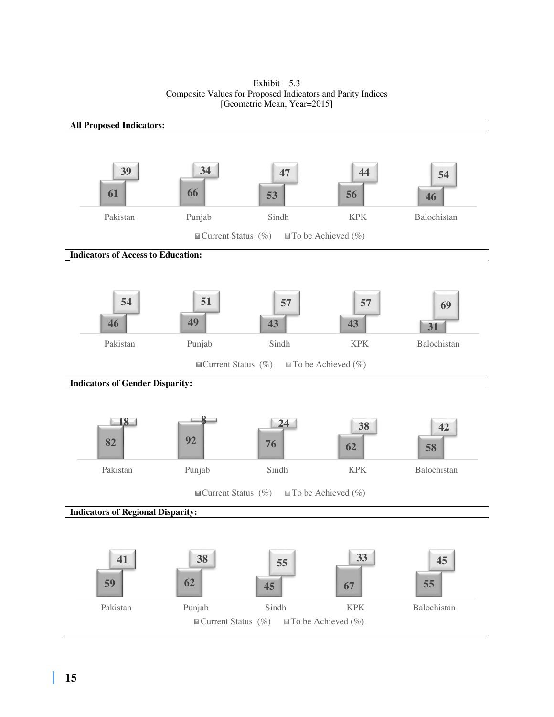

Exhibit  $-5.3$ Composite Values for Proposed Indicators and Parity Indices [Geometric Mean, Year=2015]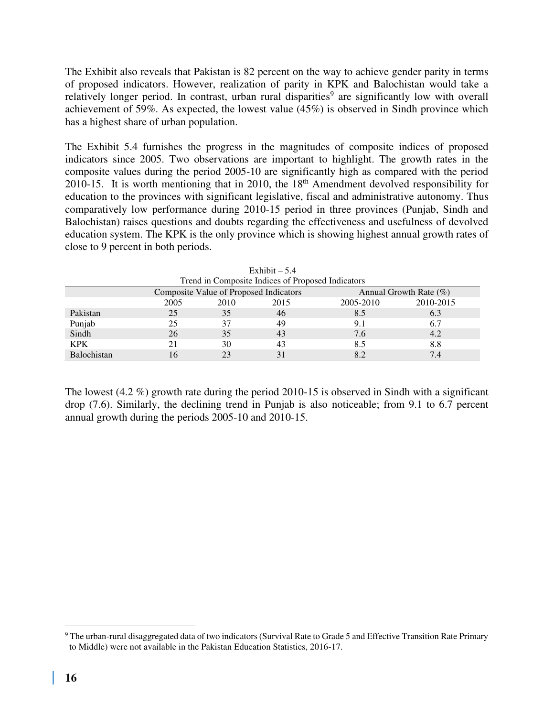The Exhibit also reveals that Pakistan is 82 percent on the way to achieve gender parity in terms of proposed indicators. However, realization of parity in KPK and Balochistan would take a relatively longer period. In contrast, urban rural disparities<sup>9</sup> are significantly low with overall achievement of 59%. As expected, the lowest value (45%) is observed in Sindh province which has a highest share of urban population.

The Exhibit 5.4 furnishes the progress in the magnitudes of composite indices of proposed indicators since 2005. Two observations are important to highlight. The growth rates in the composite values during the period 2005-10 are significantly high as compared with the period 2010-15. It is worth mentioning that in 2010, the 18<sup>th</sup> Amendment devolved responsibility for education to the provinces with significant legislative, fiscal and administrative autonomy. Thus comparatively low performance during 2010-15 period in three provinces (Punjab, Sindh and Balochistan) raises questions and doubts regarding the effectiveness and usefulness of devolved education system. The KPK is the only province which is showing highest annual growth rates of close to 9 percent in both periods.

| Trend in Composite marces of Proposed marcators |      |                                        |      |           |                           |  |
|-------------------------------------------------|------|----------------------------------------|------|-----------|---------------------------|--|
|                                                 |      | Composite Value of Proposed Indicators |      |           | Annual Growth Rate $(\%)$ |  |
|                                                 | 2005 | 2010                                   | 2015 | 2005-2010 | 2010-2015                 |  |
| Pakistan                                        | 25   | 35                                     | 46   | 8.5       | 6.3                       |  |
| Punjab                                          | 25   |                                        | 49   |           | 6.7                       |  |
| Sindh                                           | 26   | 35                                     | 43   | 7.6       | 4.2                       |  |
| <b>KPK</b>                                      |      | 30                                     | 43   | 8.5       | 8.8                       |  |
| <b>Balochistan</b>                              |      |                                        | 31   |           | 7.4                       |  |

Exhibit  $-5.4$ Trend in Composite Indices of Proposed Indicators

The lowest (4.2 %) growth rate during the period 2010-15 is observed in Sindh with a significant drop (7.6). Similarly, the declining trend in Punjab is also noticeable; from 9.1 to 6.7 percent annual growth during the periods 2005-10 and 2010-15.

 $9$  The urban-rural disaggregated data of two indicators (Survival Rate to Grade 5 and Effective Transition Rate Primary to Middle) were not available in the Pakistan Education Statistics, 2016-17.